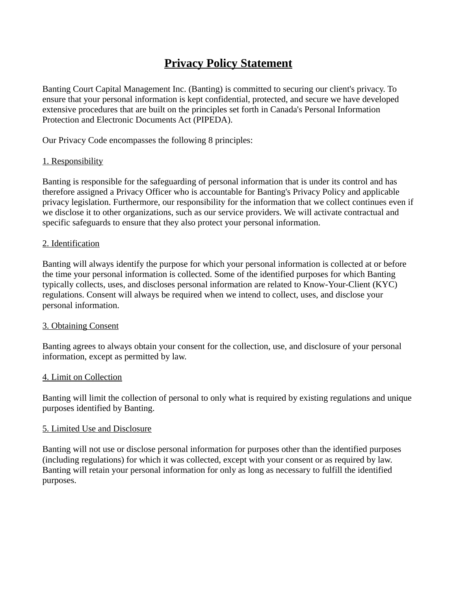# **Privacy Policy Statement**

Banting Court Capital Management Inc. (Banting) is committed to securing our client's privacy. To ensure that your personal information is kept confidential, protected, and secure we have developed extensive procedures that are built on the principles set forth in Canada's Personal Information Protection and Electronic Documents Act (PIPEDA).

Our Privacy Code encompasses the following 8 principles:

#### 1. Responsibility

Banting is responsible for the safeguarding of personal information that is under its control and has therefore assigned a Privacy Officer who is accountable for Banting's Privacy Policy and applicable privacy legislation. Furthermore, our responsibility for the information that we collect continues even if we disclose it to other organizations, such as our service providers. We will activate contractual and specific safeguards to ensure that they also protect your personal information.

#### 2. Identification

Banting will always identify the purpose for which your personal information is collected at or before the time your personal information is collected. Some of the identified purposes for which Banting typically collects, uses, and discloses personal information are related to Know-Your-Client (KYC) regulations. Consent will always be required when we intend to collect, uses, and disclose your personal information.

#### 3. Obtaining Consent

Banting agrees to always obtain your consent for the collection, use, and disclosure of your personal information, except as permitted by law.

#### 4. Limit on Collection

Banting will limit the collection of personal to only what is required by existing regulations and unique purposes identified by Banting.

#### 5. Limited Use and Disclosure

Banting will not use or disclose personal information for purposes other than the identified purposes (including regulations) for which it was collected, except with your consent or as required by law. Banting will retain your personal information for only as long as necessary to fulfill the identified purposes.